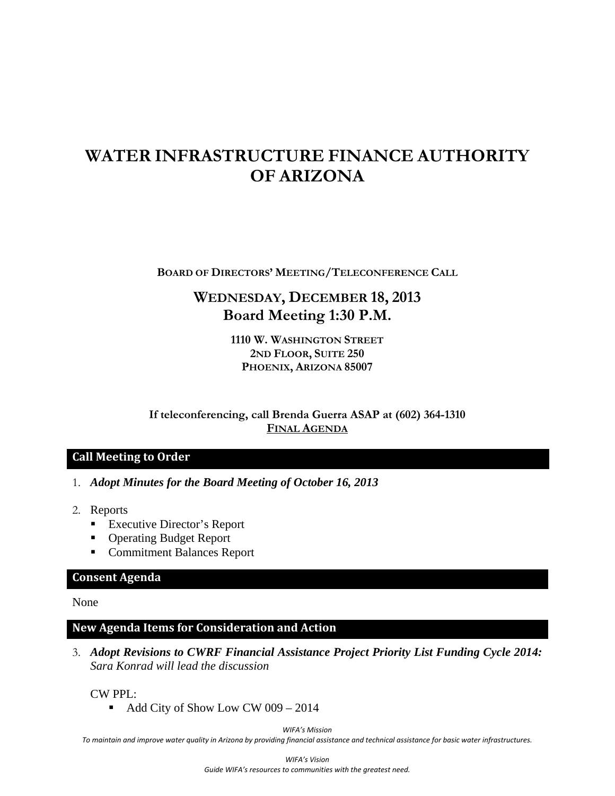# **WATER INFRASTRUCTURE FINANCE AUTHORITY OF ARIZONA**

**BOARD OF DIRECTORS' MEETING/TELECONFERENCE CALL**

## **WEDNESDAY, DECEMBER 18, 2013 Board Meeting 1:30 P.M.**

**1110 W. WASHINGTON STREET 2ND FLOOR, SUITE 250 PHOENIX, ARIZONA 85007** 

**If teleconferencing, call Brenda Guerra ASAP at (602) 364-1310 FINAL AGENDA**

### **Call Meeting to Order**

- 1. *Adopt Minutes for the Board Meeting of October 16, 2013*
- 2. Reports
	- Executive Director's Report
	- Operating Budget Report
	- Commitment Balances Report

### **Consent Agenda**

None

#### **New Agenda Items for Consideration and Action**

3. *Adopt Revisions to CWRF Financial Assistance Project Priority List Funding Cycle 2014: Sara Konrad will lead the discussion*

CW PPL:

• Add City of Show Low CW 009 – 2014

*WIFA's Mission*

To maintain and improve water quality in Arizona by providing financial assistance and technical assistance for basic water infrastructures.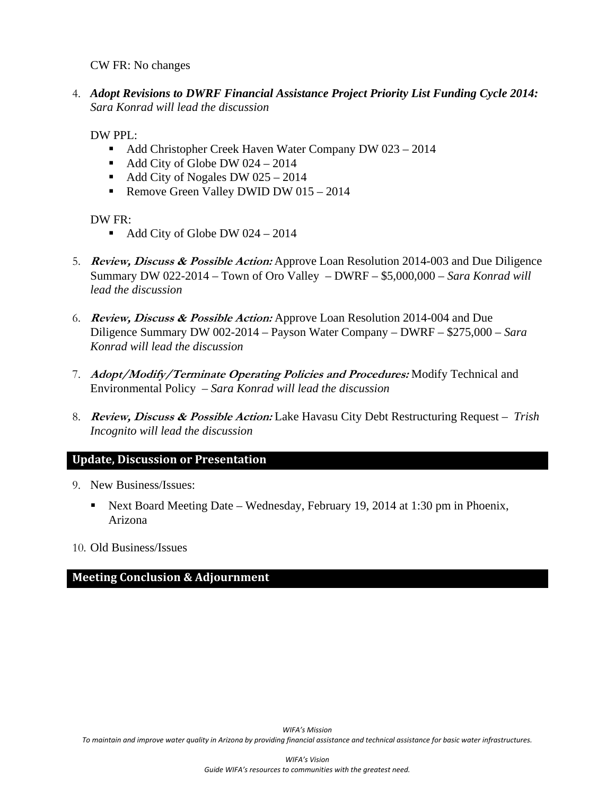CW FR: No changes

4. *Adopt Revisions to DWRF Financial Assistance Project Priority List Funding Cycle 2014: Sara Konrad will lead the discussion*

DW PPL:

- Add Christopher Creek Haven Water Company DW 023 2014
- Add City of Globe DW  $024 2014$
- Add City of Nogales DW  $025 2014$
- Remove Green Valley DWID DW 015 2014

DW FR:

- Add City of Globe DW 024 2014
- 5. **Review, Discuss & Possible Action:** Approve Loan Resolution 2014-003 and Due Diligence Summary DW 022-2014 – Town of Oro Valley – DWRF – \$5,000,000 – *Sara Konrad will lead the discussion*
- 6. **Review, Discuss & Possible Action:** Approve Loan Resolution 2014-004 and Due Diligence Summary DW 002-2014 – Payson Water Company – DWRF – \$275,000 *– Sara Konrad will lead the discussion*
- 7. **Adopt/Modify/Terminate Operating Policies and Procedures:** Modify Technical and Environmental Policy *– Sara Konrad will lead the discussion*
- 8. **Review, Discuss & Possible Action:** Lake Havasu City Debt Restructuring Request *Trish Incognito will lead the discussion*

### **Update, Discussion or Presentation**

- 9. New Business/Issues:
	- Next Board Meeting Date Wednesday, February 19, 2014 at 1:30 pm in Phoenix, Arizona
- 10. Old Business/Issues

### **Meeting Conclusion & Adjournment**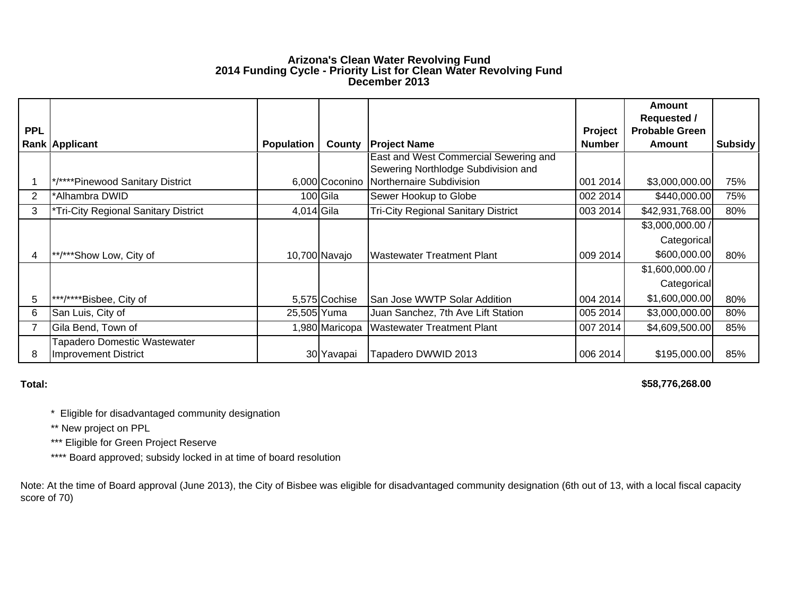#### **Arizona's Clean Water Revolving Fund 2014 Funding Cycle - Priority List for Clean Water Revolving Fund December 2013**

|                |                                                      |                   |                |                                                                              |               | Amount                                      |                |
|----------------|------------------------------------------------------|-------------------|----------------|------------------------------------------------------------------------------|---------------|---------------------------------------------|----------------|
| <b>PPL</b>     |                                                      |                   |                |                                                                              | Project       | <b>Requested /</b><br><b>Probable Green</b> |                |
|                | <b>Rank Applicant</b>                                | <b>Population</b> | County         | <b>Project Name</b>                                                          | <b>Number</b> | Amount                                      | <b>Subsidy</b> |
|                |                                                      |                   |                | East and West Commercial Sewering and<br>Sewering Northlodge Subdivision and |               |                                             |                |
|                | */****Pinewood Sanitary District                     |                   | 6,000 Coconino | Northernaire Subdivision                                                     | 001 2014      | \$3,000,000.00                              | 75%            |
| $\overline{2}$ | *Alhambra DWID                                       |                   | 100 Gila       | Sewer Hookup to Globe                                                        | 002 2014      | \$440,000.00                                | 75%            |
| 3              | *Tri-City Regional Sanitary District                 | 4,014 Gila        |                | <b>Tri-City Regional Sanitary District</b>                                   | 003 2014      | \$42,931,768.00                             | 80%            |
|                |                                                      |                   |                |                                                                              |               | \$3,000,000.00 /                            |                |
|                |                                                      |                   |                |                                                                              |               | Categorical                                 |                |
| 4              | **/***Show Low, City of                              |                   | 10,700 Navajo  | <b>Wastewater Treatment Plant</b>                                            | 009 2014      | \$600,000.00                                | 80%            |
|                |                                                      |                   |                |                                                                              |               | \$1,600,000.00 /                            |                |
|                |                                                      |                   |                |                                                                              |               | Categorical                                 |                |
| 5              | ***/****Bisbee, City of                              |                   | 5,575 Cochise  | San Jose WWTP Solar Addition                                                 | 004 2014      | \$1,600,000.00                              | 80%            |
| 6              | San Luis, City of                                    | 25,505 Yuma       |                | Juan Sanchez, 7th Ave Lift Station                                           | 005 2014      | \$3,000,000.00                              | 80%            |
|                | Gila Bend, Town of                                   |                   | 1,980 Maricopa | <b>Wastewater Treatment Plant</b>                                            | 007 2014      | \$4,609,500.00                              | 85%            |
| 8              | Tapadero Domestic Wastewater<br>Improvement District |                   | 30 Yavapai     | Tapadero DWWID 2013                                                          | 006 2014      | \$195,000.00                                | 85%            |

**Total:**

**\$58,776,268.00** 

\* Eligible for disadvantaged community designation

\*\* New project on PPL

\*\*\* Eligible for Green Project Reserve

\*\*\*\* Board approved; subsidy locked in at time of board resolution

Note: At the time of Board approval (June 2013), the City of Bisbee was eligible for disadvantaged community designation (6th out of 13, with a local fiscal capacity score of 70)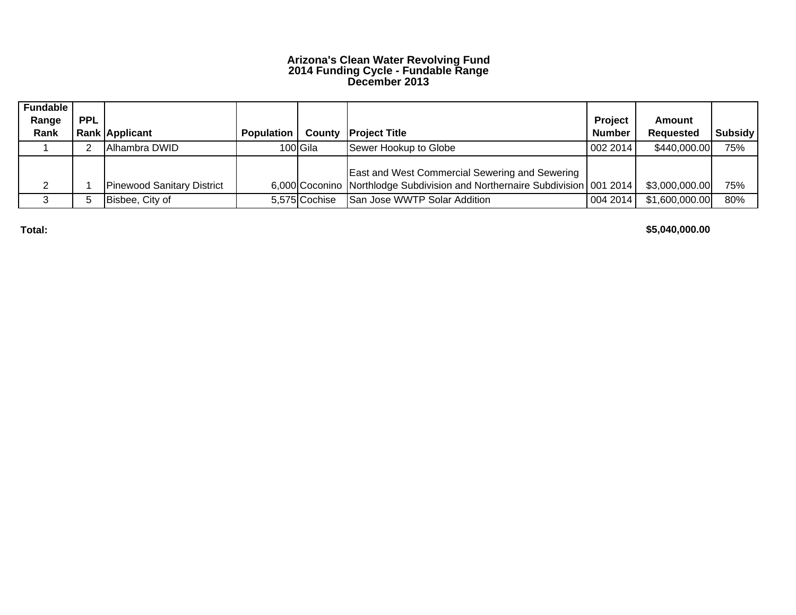#### **Arizona's Clean Water Revolving Fund 2014 Funding Cycle - Fundable Range December 2013**

| <b>Fundable</b> |            |                                   |                   |               |                                                                               |                |                  |                |
|-----------------|------------|-----------------------------------|-------------------|---------------|-------------------------------------------------------------------------------|----------------|------------------|----------------|
| Range           | <b>PPL</b> |                                   |                   |               |                                                                               | <b>Project</b> | Amount           |                |
| Rank            |            | <b>Rank Applicant</b>             | <b>Population</b> |               | <b>County Project Title</b>                                                   | <b>Number</b>  | <b>Requested</b> | <b>Subsidy</b> |
|                 |            | Alhambra DWID                     |                   | 100 Gila      | Sewer Hookup to Globe                                                         | 002 2014       | \$440,000.00     | 75%            |
|                 |            |                                   |                   |               |                                                                               |                |                  |                |
|                 |            |                                   |                   |               | <b>East and West Commercial Sewering and Sewering</b>                         |                |                  |                |
|                 |            | <b>Pinewood Sanitary District</b> |                   |               | 6,000 Coconino Northlodge Subdivision and Northernaire Subdivision   001 2014 |                | \$3,000,000.00   | 75%            |
|                 |            | Bisbee, City of                   |                   | 5,575 Cochise | San Jose WWTP Solar Addition                                                  | 004 2014       | \$1,600,000.00   | 80%            |

**Total:**

**\$5,040,000.00**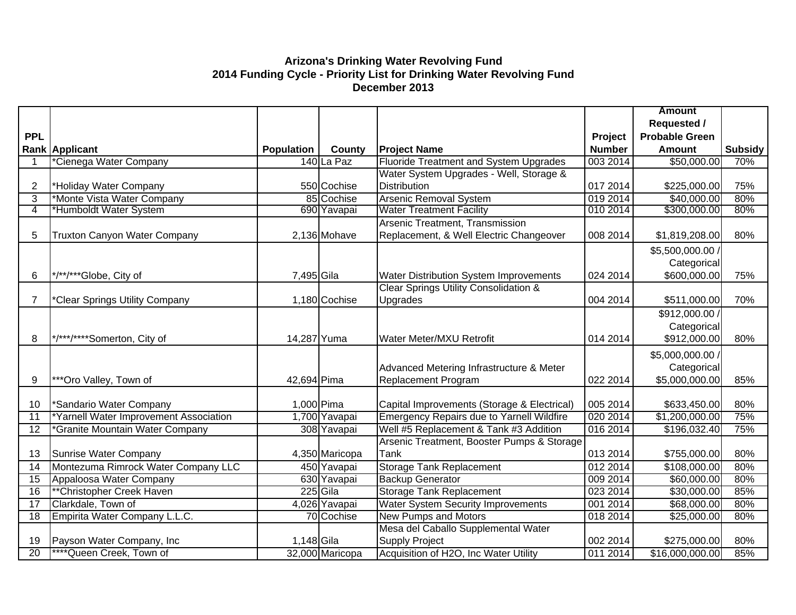### **Arizona's Drinking Water Revolving Fund 2014 Funding Cycle - Priority List for Drinking Water Revolving Fund December 2013**

|                 |                                        |                   |                 |                                                  |               | <b>Amount</b>         |         |
|-----------------|----------------------------------------|-------------------|-----------------|--------------------------------------------------|---------------|-----------------------|---------|
|                 |                                        |                   |                 |                                                  |               | <b>Requested /</b>    |         |
| <b>PPL</b>      |                                        |                   |                 |                                                  | Project       | <b>Probable Green</b> |         |
|                 | <b>Rank Applicant</b>                  | <b>Population</b> | County          | <b>Project Name</b>                              | <b>Number</b> | <b>Amount</b>         | Subsidy |
|                 | *Cienega Water Company                 |                   | 140 La Paz      | <b>Fluoride Treatment and System Upgrades</b>    | 003 2014      | \$50,000.00           | 70%     |
|                 |                                        |                   |                 | Water System Upgrades - Well, Storage &          |               |                       |         |
| $\overline{2}$  | *Holiday Water Company                 |                   | 550 Cochise     | <b>Distribution</b>                              | 017 2014      | \$225,000.00          | 75%     |
| 3               | *Monte Vista Water Company             |                   | 85 Cochise      | Arsenic Removal System                           | 019 2014      | \$40,000.00           | 80%     |
| 4               | *Humboldt Water System                 |                   | 690 Yavapai     | <b>Water Treatment Facility</b>                  | 010 2014      | \$300,000.00          | 80%     |
|                 |                                        |                   |                 | Arsenic Treatment, Transmission                  |               |                       |         |
| 5               | Truxton Canyon Water Company           |                   | 2,136 Mohave    | Replacement, & Well Electric Changeover          | 008 2014      | \$1,819,208.00        | 80%     |
|                 |                                        |                   |                 |                                                  |               | \$5,500,000.00 /      |         |
|                 |                                        |                   |                 |                                                  |               | Categorical           |         |
| 6               | */**/***Globe, City of                 | 7,495 Gila        |                 | Water Distribution System Improvements           | 024 2014      | \$600,000.00          | 75%     |
|                 |                                        |                   |                 | Clear Springs Utility Consolidation &            |               |                       |         |
| $\overline{7}$  | *Clear Springs Utility Company         |                   | 1,180 Cochise   | Upgrades                                         | 004 2014      | \$511,000.00          | 70%     |
|                 |                                        |                   |                 |                                                  |               | \$912,000.00 /        |         |
|                 |                                        |                   |                 |                                                  |               | Categorical           |         |
| 8               | */***/****Somerton, City of            | 14,287 Yuma       |                 | Water Meter/MXU Retrofit                         | 014 2014      | \$912,000.00          | 80%     |
|                 |                                        |                   |                 |                                                  |               | \$5,000,000.00 /      |         |
|                 |                                        |                   |                 | Advanced Metering Infrastructure & Meter         |               | Categorical           |         |
| 9               | ***Oro Valley, Town of                 | 42,694 Pima       |                 | <b>Replacement Program</b>                       | 022 2014      | \$5,000,000.00        | 85%     |
|                 |                                        |                   |                 |                                                  |               |                       |         |
| 10              | *Sandario Water Company                | 1,000 Pima        |                 | Capital Improvements (Storage & Electrical)      | 005 2014      | \$633,450.00          | 80%     |
| 11              | *Yarnell Water Improvement Association |                   | 1,700 Yavapai   | <b>Emergency Repairs due to Yarnell Wildfire</b> | 020 2014      | \$1,200,000.00        | 75%     |
| $\overline{12}$ | *Granite Mountain Water Company        |                   | 308 Yavapai     | Well #5 Replacement & Tank #3 Addition           | 016 2014      | \$196,032.40          | 75%     |
|                 |                                        |                   |                 | Arsenic Treatment, Booster Pumps & Storage       |               |                       |         |
| 13              | Sunrise Water Company                  |                   | 4,350 Maricopa  | Tank                                             | 013 2014      | \$755,000.00          | 80%     |
| 14              | Montezuma Rimrock Water Company LLC    |                   | 450 Yavapai     | <b>Storage Tank Replacement</b>                  | 012 2014      | \$108,000.00          | 80%     |
| 15              | Appaloosa Water Company                |                   | 630 Yavapai     | <b>Backup Generator</b>                          | 009 2014      | \$60,000.00           | 80%     |
| $\overline{16}$ | **Christopher Creek Haven              |                   | 225 Gila        | <b>Storage Tank Replacement</b>                  | 023 2014      | \$30,000.00           | 85%     |
| 17              | Clarkdale, Town of                     |                   | 4,026 Yavapai   | <b>Water System Security Improvements</b>        | 001 2014      | \$68,000.00           | 80%     |
| 18              | Empirita Water Company L.L.C.          |                   | 70 Cochise      | <b>New Pumps and Motors</b>                      | 018 2014      | \$25,000.00           | 80%     |
|                 |                                        |                   |                 | Mesa del Caballo Supplemental Water              |               |                       |         |
| 19              | Payson Water Company, Inc              | 1,148 Gila        |                 | <b>Supply Project</b>                            | 002 2014      | \$275,000.00          | 80%     |
| $\overline{20}$ | ****Queen Creek, Town of               |                   | 32,000 Maricopa | Acquisition of H2O, Inc Water Utility            | 011 2014      | \$16,000,000.00       | 85%     |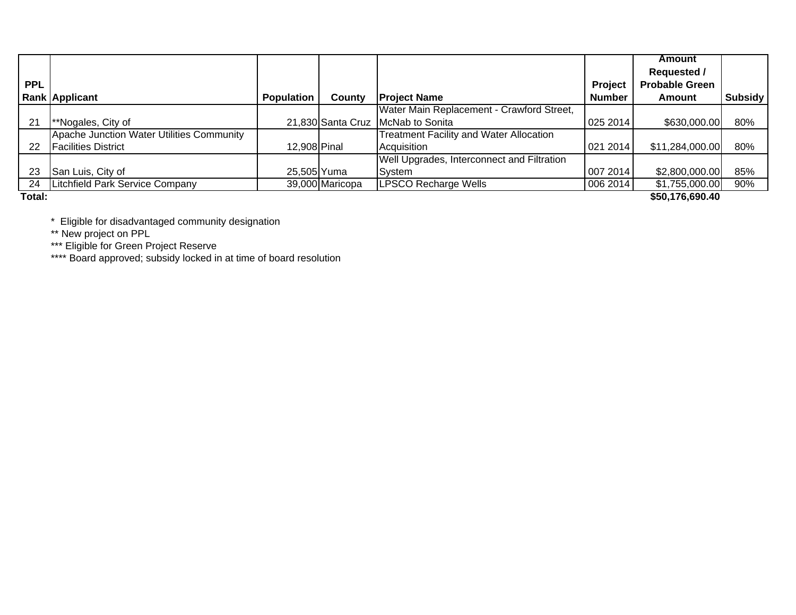|            |                                           |                   |                   |                                                |                | Amount                |                |
|------------|-------------------------------------------|-------------------|-------------------|------------------------------------------------|----------------|-----------------------|----------------|
|            |                                           |                   |                   |                                                |                | <b>Requested /</b>    |                |
| <b>PPL</b> |                                           |                   |                   |                                                | <b>Project</b> | <b>Probable Green</b> |                |
|            | <b>Rank Applicant</b>                     | <b>Population</b> | County            | <b>Project Name</b>                            | <b>Number</b>  | Amount                | <b>Subsidy</b> |
|            |                                           |                   |                   | Water Main Replacement - Crawford Street,      |                |                       |                |
| 21         | **Nogales, City of                        |                   | 21,830 Santa Cruz | <b>IMcNab to Sonita</b>                        | 025 2014       | \$630,000.00          | 80%            |
|            | Apache Junction Water Utilities Community |                   |                   | <b>Treatment Facility and Water Allocation</b> |                |                       |                |
| 22         | <b>Facilities District</b>                | 12,908 Pinal      |                   | Acquisition                                    | 021 2014       | \$11,284,000.00       | 80%            |
|            |                                           |                   |                   | Well Upgrades, Interconnect and Filtration     |                |                       |                |
| 23         | San Luis, City of                         | 25,505 Yuma       |                   | System                                         | 007 2014       | \$2,800,000.00        | 85%            |
| 24         | Litchfield Park Service Company           |                   | 39,000 Maricopa   | <b>LPSCO Recharge Wells</b>                    | 006 2014       | \$1,755,000.00        | 90%            |
| Total:     |                                           |                   |                   |                                                |                | \$50,176,690.40       |                |

**Total:**

\* Eligible for disadvantaged community designation

\*\* New project on PPL

\*\*\* Eligible for Green Project Reserve

\*\*\*\* Board approved; subsidy locked in at time of board resolution